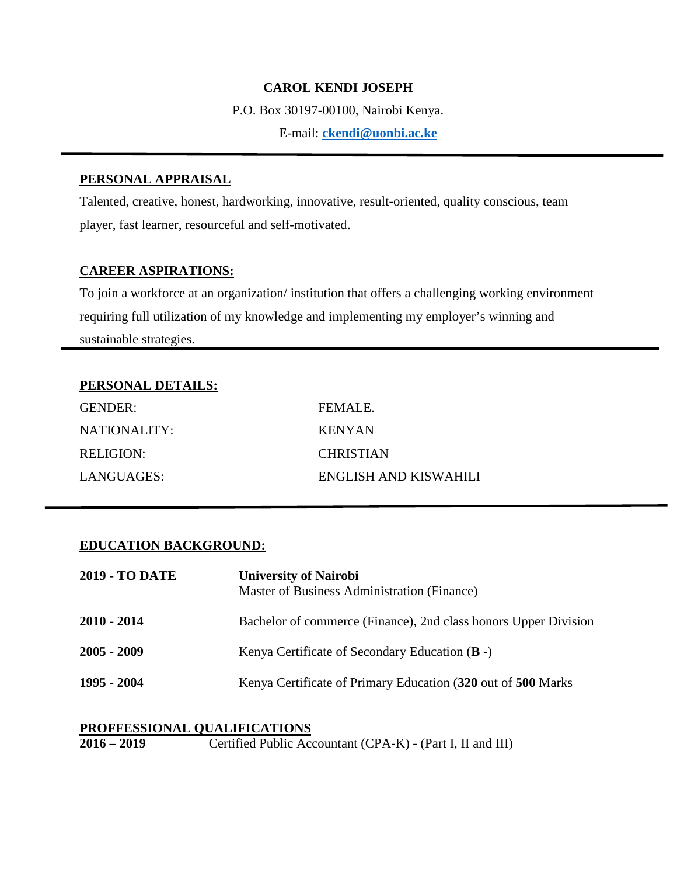#### **CAROL KENDI JOSEPH**

P.O. Box 30197-00100, Nairobi Kenya.

E-mail: **ckendi@uonbi.ac.ke**

### **PERSONAL APPRAISAL**

Talented, creative, honest, hardworking, innovative, result-oriented, quality conscious, team player, fast learner, resourceful and self-motivated.

#### **CAREER ASPIRATIONS:**

To join a workforce at an organization/ institution that offers a challenging working environment requiring full utilization of my knowledge and implementing my employer's winning and sustainable strategies.

# **PERSONAL DETAILS:**

| GENDER:      | <b>FEMALE</b>         |
|--------------|-----------------------|
| NATIONALITY: | <b>KENYAN</b>         |
| RELIGION:    | <b>CHRISTIAN</b>      |
| LANGUAGES:   | ENGLISH AND KISWAHILI |

# **EDUCATION BACKGROUND:**

| <b>2019 - TO DATE</b> | <b>University of Nairobi</b><br>Master of Business Administration (Finance) |
|-----------------------|-----------------------------------------------------------------------------|
| 2010 - 2014           | Bachelor of commerce (Finance), 2nd class honors Upper Division             |
| 2005 - 2009           | Kenya Certificate of Secondary Education $(B -)$                            |
| 1995 - 2004           | Kenya Certificate of Primary Education (320 out of 500 Marks)               |

# **PROFFESSIONAL QUALIFICATIONS**<br>**2016 – 2019** Certified Public Acc

**2016 – 2019** Certified Public Accountant (CPA-K) - (Part I, II and III)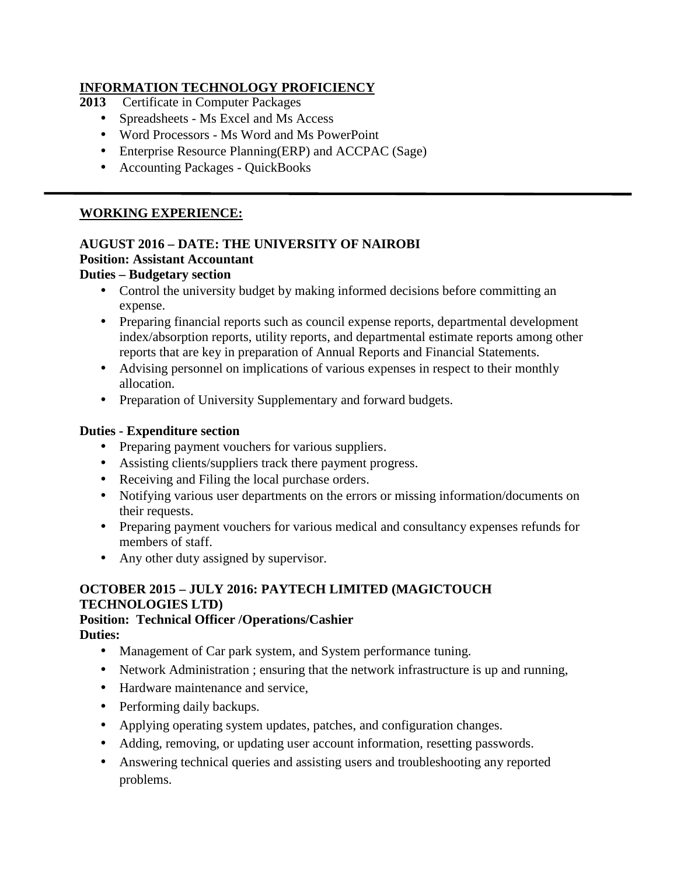# **INFORMATION TECHNOLOGY PROFICIENCY**

- **2013** Certificate in Computer Packages
	- Spreadsheets Ms Excel and Ms Access
	- Word Processors Ms Word and Ms PowerPoint
	- Enterprise Resource Planning(ERP) and ACCPAC (Sage)
	- Accounting Packages QuickBooks

# **WORKING EXPERIENCE:**

#### **AUGUST 2016 – DATE: THE UNIVERSITY OF NAIROBI Position: Assistant Accountant**

# **Duties – Budgetary section**

- Control the university budget by making informed decisions before committing an expense.
- Preparing financial reports such as council expense reports, departmental development index/absorption reports, utility reports, and departmental estimate reports among other reports that are key in preparation of Annual Reports and Financial Statements.
- Advising personnel on implications of various expenses in respect to their monthly allocation.
- Preparation of University Supplementary and forward budgets.

# **Duties - Expenditure section**

- Preparing payment vouchers for various suppliers.
- Assisting clients/suppliers track there payment progress.
- Receiving and Filing the local purchase orders.
- Notifying various user departments on the errors or missing information/documents on their requests.
- Preparing payment vouchers for various medical and consultancy expenses refunds for members of staff.
- Any other duty assigned by supervisor.

# **OCTOBER 2015 – JULY 2016: PAYTECH LIMITED (MAGICTOUCH TECHNOLOGIES LTD)**

#### **Position: Technical Officer /Operations/Cashier Duties:**

- Management of Car park system, and System performance tuning.
- Network Administration ; ensuring that the network infrastructure is up and running,
- Hardware maintenance and service,
- Performing daily backups.
- Applying operating system updates, patches, and configuration changes.
- Adding, removing, or updating user account information, resetting passwords.
- Answering technical queries and assisting users and troubleshooting any reported problems.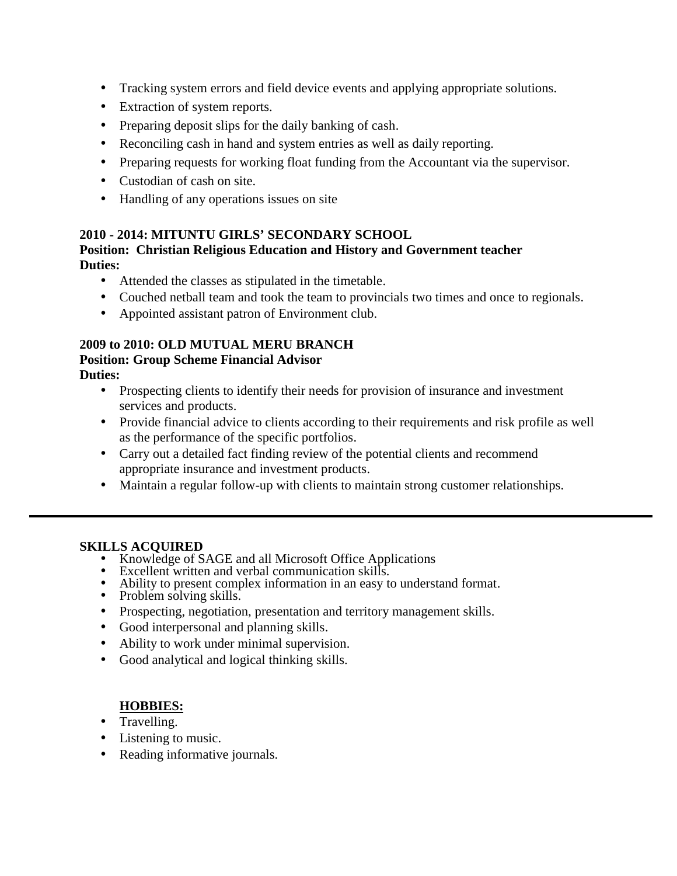- Tracking system errors and field device events and applying appropriate solutions.
- Extraction of system reports.
- Preparing deposit slips for the daily banking of cash.
- Reconciling cash in hand and system entries as well as daily reporting.
- Preparing requests for working float funding from the Accountant via the supervisor.
- Custodian of cash on site.
- Handling of any operations issues on site

# **2010 - 2014: MITUNTU GIRLS' SECONDARY SCHOOL**

#### **Position: Christian Religious Education and History and Government teacher Duties:**

- Attended the classes as stipulated in the timetable.
- Couched netball team and took the team to provincials two times and once to regionals.
- Appointed assistant patron of Environment club.

# **2009 to 2010: OLD MUTUAL MERU BRANCH Position: Group Scheme Financial Advisor**

**Duties:**

- Prospecting clients to identify their needs for provision of insurance and investment services and products.
- Provide financial advice to clients according to their requirements and risk profile as well as the performance of the specific portfolios.
- Carry out a detailed fact finding review of the potential clients and recommend appropriate insurance and investment products.
- Maintain a regular follow-up with clients to maintain strong customer relationships.

- **SKILLS ACQUIRED**<br>• Knowledge of SAGE and all Microsoft Office Applications
	-
	- Solutions **Excellent written and verbal communication skills.**<br>
	Ability to present complex information in an easy to understand format.<br>
	Problem solving skills.
	-
	- Prospecting, negotiation, presentation and territory management skills.
	- Good interpersonal and planning skills.
	- Ability to work under minimal supervision.
	- Good analytical and logical thinking skills.

# **HOBBIES:**

- Travelling.
- Listening to music.
- Reading informative journals.